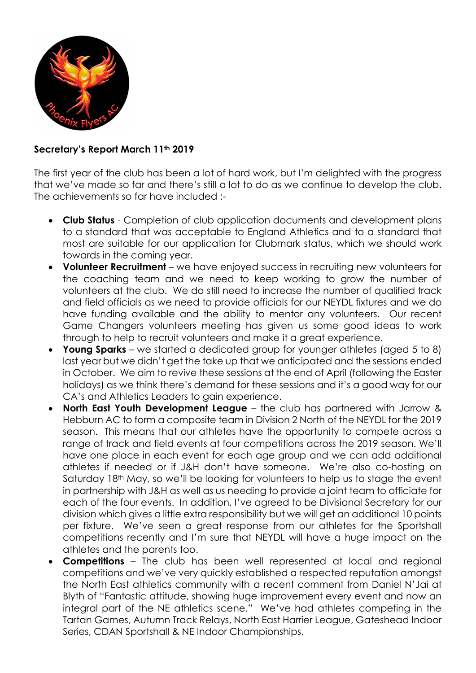

## Secretary's Report March 11th 2019

The first year of the club has been a lot of hard work, but I'm delighted with the progress that we've made so far and there's still a lot to do as we continue to develop the club. The achievements so far have included :-

- Club Status Completion of club application documents and development plans to a standard that was acceptable to England Athletics and to a standard that most are suitable for our application for Clubmark status, which we should work towards in the coming year.
- Volunteer Recruitment we have enjoved success in recruiting new volunteers for the coaching team and we need to keep working to grow the number of volunteers at the club. We do still need to increase the number of qualified track and field officials as we need to provide officials for our NEYDL fixtures and we do have funding available and the ability to mentor any volunteers. Our recent Game Changers volunteers meeting has given us some good ideas to work through to help to recruit volunteers and make it a great experience.
- Young Sparks we started a dedicated group for younger athletes (aged 5 to 8) last year but we didn't get the take up that we anticipated and the sessions ended in October. We aim to revive these sessions at the end of April (following the Easter holidays) as we think there's demand for these sessions and it's a good way for our CA's and Athletics Leaders to gain experience.
- North East Youth Development League the club has partnered with Jarrow & Hebburn AC to form a composite team in Division 2 North of the NEYDL for the 2019 season. This means that our athletes have the opportunity to compete across a range of track and field events at four competitions across the 2019 season. We'll have one place in each event for each age group and we can add additional athletes if needed or if J&H don't have someone. We're also co-hosting on Saturday 18<sup>th</sup> May, so we'll be looking for volunteers to help us to stage the event in partnership with J&H as well as us needing to provide a joint team to officiate for each of the four events. In addition, I've agreed to be Divisional Secretary for our division which gives a little extra responsibility but we will get an additional 10 points per fixture. We've seen a great response from our athletes for the Sportshall competitions recently and I'm sure that NEYDL will have a huge impact on the athletes and the parents too.
- Competitions The club has been well represented at local and regional competitions and we've very quickly established a respected reputation amongst the North East athletics community with a recent comment from Daniel N'Jai at Blyth of "Fantastic attitude, showing huge improvement every event and now an integral part of the NE athletics scene." We've had athletes competing in the Tartan Games, Autumn Track Relays, North East Harrier League, Gateshead Indoor Series, CDAN Sportshall & NE Indoor Championships.